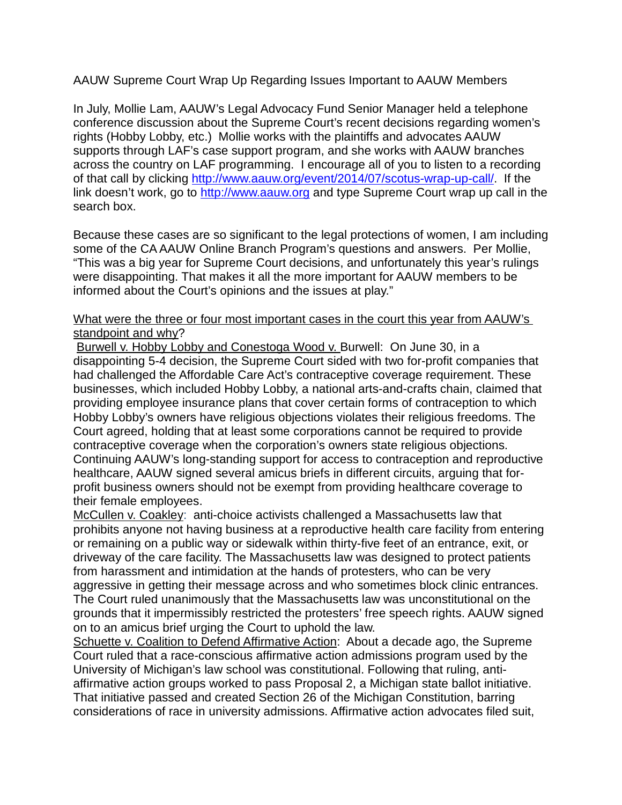AAUW Supreme Court Wrap Up Regarding Issues Important to AAUW Members

In July, Mollie Lam, AAUW's Legal Advocacy Fund Senior Manager held a telephone conference discussion about the Supreme Court's recent decisions regarding women's rights (Hobby Lobby, etc.) Mollie works with the plaintiffs and advocates AAUW supports through LAF's case support program, and she works with AAUW branches across the country on LAF programming. I encourage all of you to listen to a recording of that call by clicking http://www.aauw.org/event/2014/07/scotus-wrap-up-call/. If the link doesn't work, go to http://www.aauw.org and type Supreme Court wrap up call in the search box.

Because these cases are so significant to the legal protections of women, I am including some of the CA AAUW Online Branch Program's questions and answers. Per Mollie, "This was a big year for Supreme Court decisions, and unfortunately this year's rulings were disappointing. That makes it all the more important for AAUW members to be informed about the Court's opinions and the issues at play."

## What were the three or four most important cases in the court this year from AAUW's standpoint and why?

 Burwell v. Hobby Lobby and Conestoga Wood v. Burwell: On June 30, in a disappointing 5-4 decision, the Supreme Court sided with two for-profit companies that had challenged the Affordable Care Act's contraceptive coverage requirement. These businesses, which included Hobby Lobby, a national arts-and-crafts chain, claimed that providing employee insurance plans that cover certain forms of contraception to which Hobby Lobby's owners have religious objections violates their religious freedoms. The Court agreed, holding that at least some corporations cannot be required to provide contraceptive coverage when the corporation's owners state religious objections. Continuing AAUW's long-standing support for access to contraception and reproductive healthcare, AAUW signed several amicus briefs in different circuits, arguing that forprofit business owners should not be exempt from providing healthcare coverage to their female employees.

McCullen v. Coakley: anti-choice activists challenged a Massachusetts law that prohibits anyone not having business at a reproductive health care facility from entering or remaining on a public way or sidewalk within thirty-five feet of an entrance, exit, or driveway of the care facility. The Massachusetts law was designed to protect patients from harassment and intimidation at the hands of protesters, who can be very aggressive in getting their message across and who sometimes block clinic entrances. The Court ruled unanimously that the Massachusetts law was unconstitutional on the grounds that it impermissibly restricted the protesters' free speech rights. AAUW signed on to an amicus brief urging the Court to uphold the law.

Schuette v. Coalition to Defend Affirmative Action: About a decade ago, the Supreme Court ruled that a race-conscious affirmative action admissions program used by the University of Michigan's law school was constitutional. Following that ruling, antiaffirmative action groups worked to pass Proposal 2, a Michigan state ballot initiative. That initiative passed and created Section 26 of the Michigan Constitution, barring considerations of race in university admissions. Affirmative action advocates filed suit,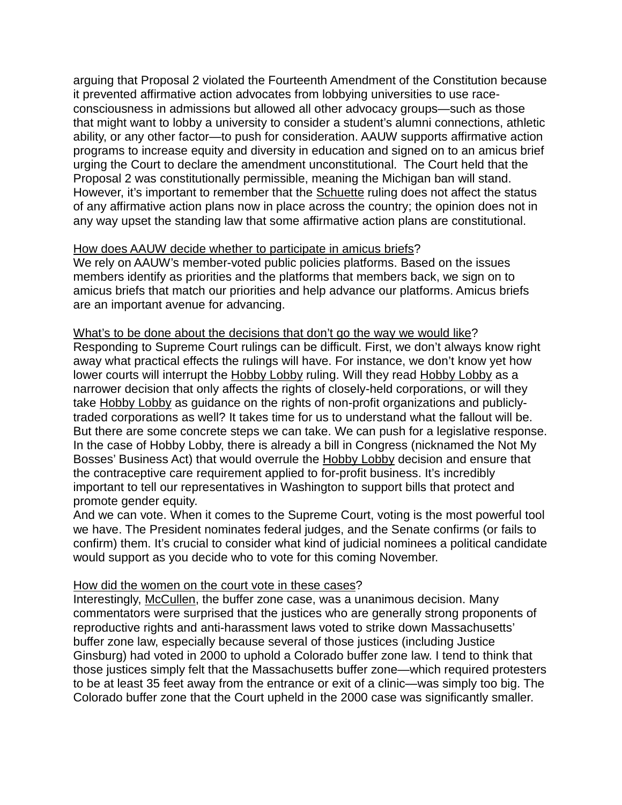arguing that Proposal 2 violated the Fourteenth Amendment of the Constitution because it prevented affirmative action advocates from lobbying universities to use raceconsciousness in admissions but allowed all other advocacy groups—such as those that might want to lobby a university to consider a student's alumni connections, athletic ability, or any other factor—to push for consideration. AAUW supports affirmative action programs to increase equity and diversity in education and signed on to an amicus brief urging the Court to declare the amendment unconstitutional. The Court held that the Proposal 2 was constitutionally permissible, meaning the Michigan ban will stand. However, it's important to remember that the Schuette ruling does not affect the status of any affirmative action plans now in place across the country; the opinion does not in any way upset the standing law that some affirmative action plans are constitutional.

## How does AAUW decide whether to participate in amicus briefs?

We rely on AAUW's member-voted public policies platforms. Based on the issues members identify as priorities and the platforms that members back, we sign on to amicus briefs that match our priorities and help advance our platforms. Amicus briefs are an important avenue for advancing.

## What's to be done about the decisions that don't go the way we would like?

Responding to Supreme Court rulings can be difficult. First, we don't always know right away what practical effects the rulings will have. For instance, we don't know yet how lower courts will interrupt the Hobby Lobby ruling. Will they read Hobby Lobby as a narrower decision that only affects the rights of closely-held corporations, or will they take Hobby Lobby as guidance on the rights of non-profit organizations and publiclytraded corporations as well? It takes time for us to understand what the fallout will be. But there are some concrete steps we can take. We can push for a legislative response. In the case of Hobby Lobby, there is already a bill in Congress (nicknamed the Not My Bosses' Business Act) that would overrule the Hobby Lobby decision and ensure that the contraceptive care requirement applied to for-profit business. It's incredibly important to tell our representatives in Washington to support bills that protect and promote gender equity.

And we can vote. When it comes to the Supreme Court, voting is the most powerful tool we have. The President nominates federal judges, and the Senate confirms (or fails to confirm) them. It's crucial to consider what kind of judicial nominees a political candidate would support as you decide who to vote for this coming November.

## How did the women on the court vote in these cases?

Interestingly, McCullen, the buffer zone case, was a unanimous decision. Many commentators were surprised that the justices who are generally strong proponents of reproductive rights and anti-harassment laws voted to strike down Massachusetts' buffer zone law, especially because several of those justices (including Justice Ginsburg) had voted in 2000 to uphold a Colorado buffer zone law. I tend to think that those justices simply felt that the Massachusetts buffer zone—which required protesters to be at least 35 feet away from the entrance or exit of a clinic—was simply too big. The Colorado buffer zone that the Court upheld in the 2000 case was significantly smaller.